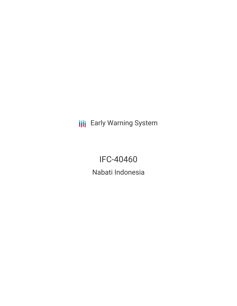**III** Early Warning System

IFC-40460 Nabati Indonesia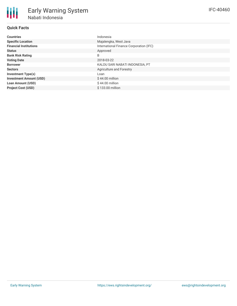### **Quick Facts**

| <b>Countries</b>               | Indonesia                               |
|--------------------------------|-----------------------------------------|
| <b>Specific Location</b>       | Majalengka, West Java                   |
| <b>Financial Institutions</b>  | International Finance Corporation (IFC) |
| <b>Status</b>                  | Approved                                |
| <b>Bank Risk Rating</b>        | B                                       |
| <b>Voting Date</b>             | 2018-03-22                              |
| <b>Borrower</b>                | KALDU SARI NABATI INDONESIA, PT         |
| <b>Sectors</b>                 | Agriculture and Forestry                |
| <b>Investment Type(s)</b>      | Loan                                    |
| <b>Investment Amount (USD)</b> | $$44.00$ million                        |
| <b>Loan Amount (USD)</b>       | \$44.00 million                         |
| <b>Project Cost (USD)</b>      | \$133.00 million                        |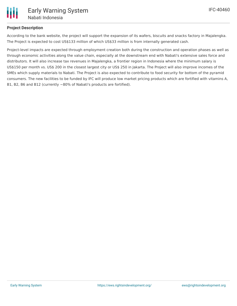## **Project Description**

According to the bank website, the project will support the expansion of its wafers, biscuits and snacks factory in Majalengka. The Project is expected to cost US\$133 million of which US\$33 million is from internally generated cash.

Project-level impacts are expected through employment creation both during the construction and operation phases as well as through economic activities along the value chain, especially at the downstream end with Nabati's extensive sales force and distributors. It will also increase tax revenues in Majalengka, a frontier region in Indonesia where the minimum salary is US\$150 per month vs. US\$ 200 in the closest largest city or US\$ 250 in Jakarta. The Project will also improve incomes of the SMEs which supply materials to Nabati. The Project is also expected to contribute to food security for bottom of the pyramid consumers. The new facilities to be funded by IFC will produce low market pricing products which are fortified with vitamins A, B1, B2, B6 and B12 (currently ~80% of Nabati's products are fortified).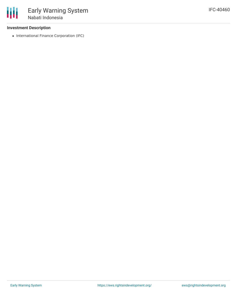#### **Investment Description**

• International Finance Corporation (IFC)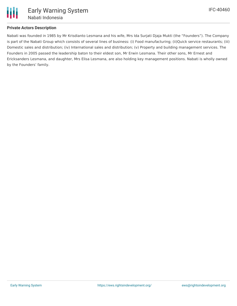

#### **Private Actors Description**

Nabati was founded in 1985 by Mr Krisdianto Lesmana and his wife, Mrs Ida Surjati Djaja Mukti (the "Founders"). The Company is part of the Nabati Group which consists of several lines of business: (i) Food manufacturing; (ii)Quick service restaurants; (iii) Domestic sales and distribution; (iv) International sales and distribution; (v) Property and building management services. The Founders in 2005 passed the leadership baton to their eldest son, Mr Erwin Lesmana. Their other sons, Mr Ernest and Ericksanders Lesmana, and daughter, Mrs Elisa Lesmana, are also holding key management positions. Nabati is wholly owned by the Founders' family.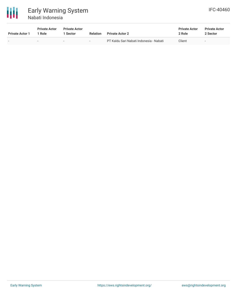

# Early Warning System Nabati Indonesia

| <b>IFC-40460</b> |  |
|------------------|--|
|------------------|--|

| <b>Private Actor 1</b> | <b>Private Actor</b><br>' Role | <b>Private Actor</b><br><b>Sector</b> | <b>Relation</b> | <b>Private Actor 2</b>                  | <b>Private Actor</b><br>2 Role | <b>Private Actor</b><br>2 Sector |
|------------------------|--------------------------------|---------------------------------------|-----------------|-----------------------------------------|--------------------------------|----------------------------------|
|                        | $\overline{\phantom{0}}$       | $\overline{\phantom{0}}$              | $\sim$          | PT Kaldu Sari Nabati Indonesia - Nabati | Client                         | $\overline{\phantom{a}}$         |